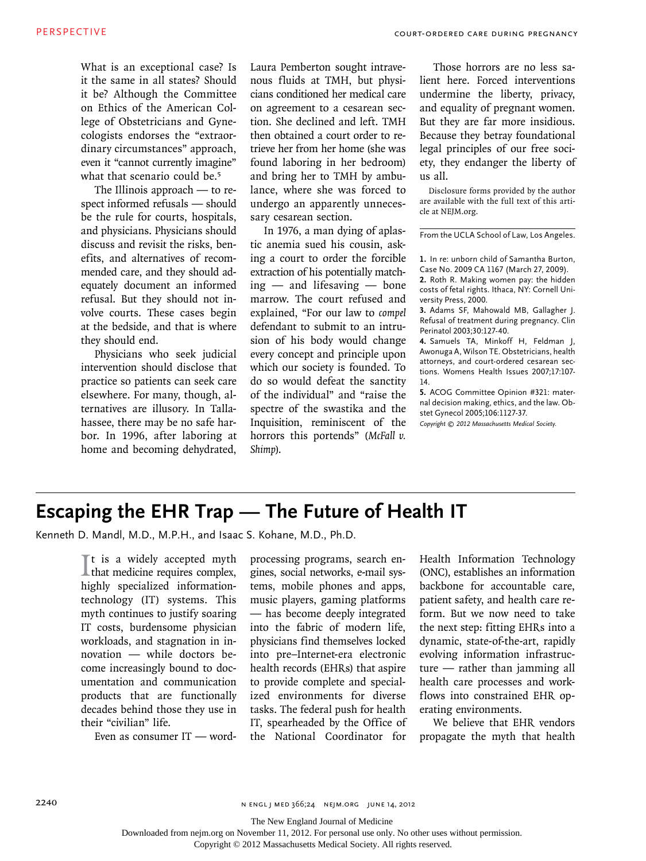What is an exceptional case? Is it the same in all states? Should it be? Although the Committee on Ethics of the American College of Obstetricians and Gynecologists endorses the "extraordinary circumstances" approach, even it "cannot currently imagine" what that scenario could be.<sup>5</sup>

The Illinois approach — to respect informed refusals — should be the rule for courts, hospitals, and physicians. Physicians should discuss and revisit the risks, benefits, and alternatives of recommended care, and they should adequately document an informed refusal. But they should not involve courts. These cases begin at the bedside, and that is where they should end.

Physicians who seek judicial intervention should disclose that practice so patients can seek care elsewhere. For many, though, alternatives are illusory. In Tallahassee, there may be no safe harbor. In 1996, after laboring at home and becoming dehydrated,

Laura Pemberton sought intravenous fluids at TMH, but physicians conditioned her medical care on agreement to a cesarean section. She declined and left. TMH then obtained a court order to retrieve her from her home (she was found laboring in her bedroom) and bring her to TMH by ambulance, where she was forced to undergo an apparently unnecessary cesarean section.

In 1976, a man dying of aplastic anemia sued his cousin, asking a court to order the forcible extraction of his potentially matching — and lifesaving — bone marrow. The court refused and explained, "For our law to *compel* defendant to submit to an intrusion of his body would change every concept and principle upon which our society is founded. To do so would defeat the sanctity of the individual" and "raise the spectre of the swastika and the Inquisition, reminiscent of the horrors this portends" (*McFall v. Shimp*).

Those horrors are no less salient here. Forced interventions undermine the liberty, privacy, and equality of pregnant women. But they are far more insidious. Because they betray foundational legal principles of our free society, they endanger the liberty of us all.

Disclosure forms provided by the author are available with the full text of this article at NEJM.org.

From the UCLA School of Law, Los Angeles.

**1.** In re: unborn child of Samantha Burton, Case No. 2009 CA 1167 (March 27, 2009).

**2.** Roth R. Making women pay: the hidden costs of fetal rights. Ithaca, NY: Cornell University Press, 2000.

**3.** Adams SF, Mahowald MB, Gallagher J. Refusal of treatment during pregnancy. Clin Perinatol 2003;30:127-40.

**4.** Samuels TA, Minkoff H, Feldman J, Awonuga A, Wilson TE. Obstetricians, health attorneys, and court-ordered cesarean sections. Womens Health Issues 2007;17:107-14.

**5.** ACOG Committee Opinion #321: maternal decision making, ethics, and the law. Obstet Gynecol 2005;106:1127-37.

*Copyright © 2012 Massachusetts Medical Society.*

## **Escaping the EHR Trap — The Future of Health IT**

Kenneth D. Mandl, M.D., M.P.H., and Isaac S. Kohane, M.D., Ph.D.

It is a widely accepted myth<br>that medicine requires complex, **L**that medicine requires complex, highly specialized informationtechnology (IT) systems. This myth continues to justify soaring IT costs, burdensome physician workloads, and stagnation in innovation — while doctors become increasingly bound to documentation and communication products that are functionally decades behind those they use in their "civilian" life.

Even as consumer IT — word-

processing programs, search engines, social networks, e-mail systems, mobile phones and apps, music players, gaming platforms — has become deeply integrated into the fabric of modern life, physicians find themselves locked into pre–Internet-era electronic health records (EHRs) that aspire to provide complete and specialized environments for diverse tasks. The federal push for health IT, spearheaded by the Office of the National Coordinator for Health Information Technology (ONC), establishes an information backbone for accountable care, patient safety, and health care reform. But we now need to take the next step: fitting EHRs into a dynamic, state-of-the-art, rapidly evolving information infrastructure — rather than jamming all health care processes and workflows into constrained EHR operating environments.

We believe that EHR vendors propagate the myth that health

The New England Journal of Medicine

Downloaded from nejm.org on November 11, 2012. For personal use only. No other uses without permission.

Copyright © 2012 Massachusetts Medical Society. All rights reserved.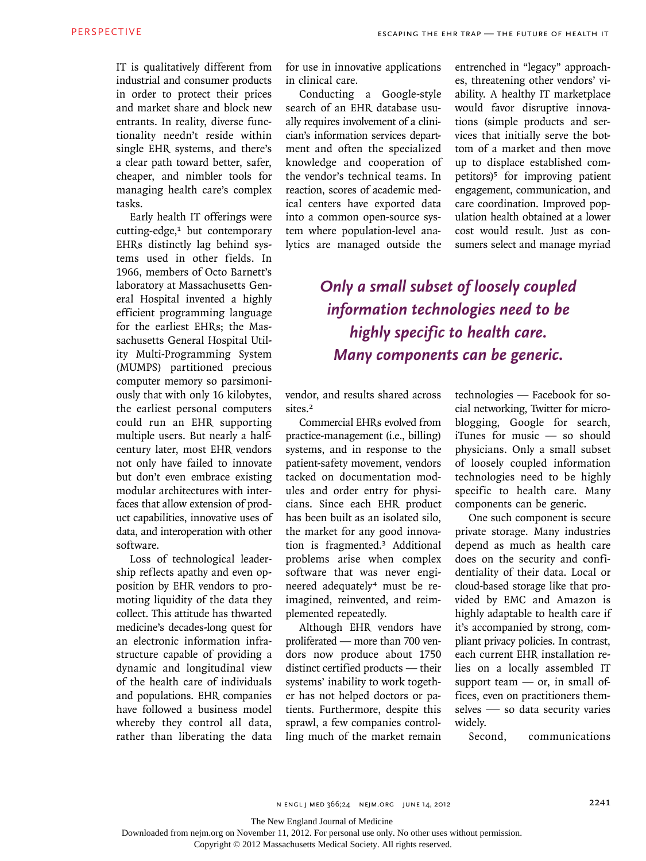IT is qualitatively different from industrial and consumer products in order to protect their prices and market share and block new entrants. In reality, diverse functionality needn't reside within single EHR systems, and there's a clear path toward better, safer, cheaper, and nimbler tools for managing health care's complex tasks.

Early health IT offerings were cutting-edge,<sup>1</sup> but contemporary EHRs distinctly lag behind systems used in other fields. In 1966, members of Octo Barnett's laboratory at Massachusetts General Hospital invented a highly efficient programming language for the earliest EHRs; the Massachusetts General Hospital Utility Multi-Programming System (MUMPS) partitioned precious computer memory so parsimoniously that with only 16 kilobytes, the earliest personal computers could run an EHR supporting multiple users. But nearly a halfcentury later, most EHR vendors not only have failed to innovate but don't even embrace existing modular architectures with interfaces that allow extension of product capabilities, innovative uses of data, and interoperation with other software.

Loss of technological leadership reflects apathy and even opposition by EHR vendors to promoting liquidity of the data they collect. This attitude has thwarted medicine's decades-long quest for an electronic information infrastructure capable of providing a dynamic and longitudinal view of the health care of individuals and populations. EHR companies have followed a business model whereby they control all data, rather than liberating the data

for use in innovative applications in clinical care.

Conducting a Google-style search of an EHR database usually requires involvement of a clinician's information services department and often the specialized knowledge and cooperation of the vendor's technical teams. In reaction, scores of academic medical centers have exported data into a common open-source system where population-level analytics are managed outside the

entrenched in "legacy" approaches, threatening other vendors' viability. A healthy IT marketplace would favor disruptive innovations (simple products and services that initially serve the bottom of a market and then move up to displace established competitors)<sup>5</sup> for improving patient engagement, communication, and care coordination. Improved population health obtained at a lower cost would result. Just as consumers select and manage myriad

## *Only a small subset of loosely coupled information technologies need to be highly specific to health care. Many components can be generic.*

vendor, and results shared across sites.<sup>2</sup>

Commercial EHRs evolved from practice-management (i.e., billing) systems, and in response to the patient-safety movement, vendors tacked on documentation modules and order entry for physicians. Since each EHR product has been built as an isolated silo, the market for any good innovation is fragmented.3 Additional problems arise when complex software that was never engineered adequately4 must be reimagined, reinvented, and reimplemented repeatedly.

Although EHR vendors have proliferated — more than 700 vendors now produce about 1750 distinct certified products — their systems' inability to work together has not helped doctors or patients. Furthermore, despite this sprawl, a few companies controlling much of the market remain

technologies — Facebook for social networking, Twitter for microblogging, Google for search, iTunes for music — so should physicians. Only a small subset of loosely coupled information technologies need to be highly specific to health care. Many components can be generic.

One such component is secure private storage. Many industries depend as much as health care does on the security and confidentiality of their data. Local or cloud-based storage like that provided by EMC and Amazon is highly adaptable to health care if it's accompanied by strong, compliant privacy policies. In contrast, each current EHR installation relies on a locally assembled IT support team  $-$  or, in small offices, even on practitioners themselves — so data security varies widely.

Second, communications

The New England Journal of Medicine

Downloaded from nejm.org on November 11, 2012. For personal use only. No other uses without permission.

Copyright © 2012 Massachusetts Medical Society. All rights reserved.